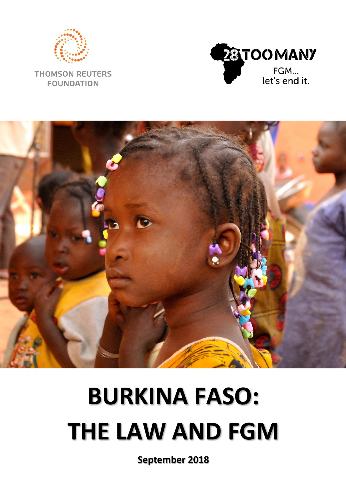

**THOMSON REUTERS FOUNDATION** 





# **BURKINA FASO: THE LAW AND FGM**

**September 2018**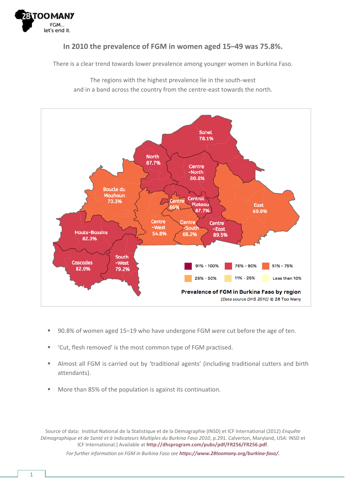

#### **In 2010 the prevalence of FGM in women aged 15–49 was 75.8%.**

There is a clear trend towards lower prevalence among younger women in Burkina Faso.

The regions with the highest prevalence lie in the south-west and in a band across the country from the centre-east towards the north.



- 90.8% of women aged 15–19 who have undergone FGM were cut before the age of ten.
- 'Cut, flesh removed' is the most common type of FGM practised.
- Almost all FGM is carried out by 'traditional agents' (including traditional cutters and birth attendants).
- More than 85% of the population is against its continuation.

Source of data: Institut National de la Statistique et de la Démographie (INSD) et ICF International (2012) *Enquête Démographique et de Santé et à Indicateurs Multiples du Burkina Faso 2010*, p.291. Calverton, Maryland, USA: INSD et ICF International.] Available at **<http://dhsprogram.com/pubs/pdf/FR256/FR256.pdf>**. *For further information on FGM in Burkina Faso see [https://www.28toomany.org/burkina-faso/.](https://www.28toomany.org/burkina-faso/)*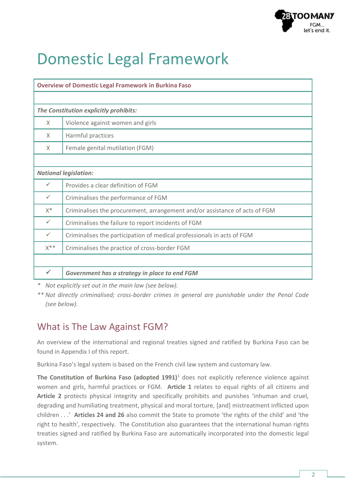

### Domestic Legal Framework

| <b>Overview of Domestic Legal Framework in Burkina Faso</b> |                                                                            |  |  |  |  |
|-------------------------------------------------------------|----------------------------------------------------------------------------|--|--|--|--|
|                                                             |                                                                            |  |  |  |  |
| The Constitution explicitly prohibits:                      |                                                                            |  |  |  |  |
| $\times$                                                    | Violence against women and girls                                           |  |  |  |  |
| X                                                           | Harmful practices                                                          |  |  |  |  |
| X                                                           | Female genital mutilation (FGM)                                            |  |  |  |  |
|                                                             |                                                                            |  |  |  |  |
| <b>National legislation:</b>                                |                                                                            |  |  |  |  |
| ✓                                                           | Provides a clear definition of FGM                                         |  |  |  |  |
| $\checkmark$                                                | Criminalises the performance of FGM                                        |  |  |  |  |
| $X^*$                                                       | Criminalises the procurement, arrangement and/or assistance of acts of FGM |  |  |  |  |
| $\checkmark$                                                | Criminalises the failure to report incidents of FGM                        |  |  |  |  |
| $\checkmark$                                                | Criminalises the participation of medical professionals in acts of FGM     |  |  |  |  |
| $X^*$                                                       | Criminalises the practice of cross-border FGM                              |  |  |  |  |
|                                                             |                                                                            |  |  |  |  |
| ✓                                                           | Government has a strategy in place to end FGM                              |  |  |  |  |

*\* Not explicitly set out in the main law (see below).*

*\*\* Not directly criminalised; cross-border crimes in general are punishable under the Penal Code (see below).*

#### What is The Law Against FGM?

An overview of the international and regional treaties signed and ratified by Burkina Faso can be found in Appendix I of this report.

Burkina Faso's legal system is based on the French civil law system and customary law.

**The Constitution of Burkina Faso (adopted 1991)**<sup>1</sup> does not explicitly reference violence against women and girls, harmful practices or FGM. **Article 1** relates to equal rights of all citizens and **Article 2** protects physical integrity and specifically prohibits and punishes 'inhuman and cruel, degrading and humiliating treatment, physical and moral torture, [and] mistreatment inflicted upon children . . .' **Articles 24 and 26** also commit the State to promote 'the rights of the child' and 'the right to health', respectively. The Constitution also guarantees that the international human rights treaties signed and ratified by Burkina Faso are automatically incorporated into the domestic legal system.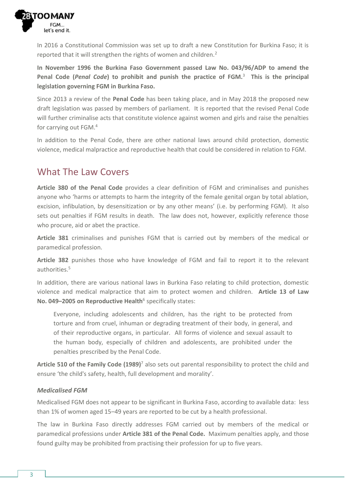

In 2016 a Constitutional Commission was set up to draft a new Constitution for Burkina Faso; it is reported that it will strengthen the rights of women and children.<sup>2</sup>

**In November 1996 the Burkina Faso Government passed Law No. 043/96/ADP to amend the Penal Code (***Penal Code***) to prohibit and punish the practice of FGM.**<sup>3</sup>  **This is the principal legislation governing FGM in Burkina Faso.**

Since 2013 a review of the **Penal Code** has been taking place, and in May 2018 the proposed new draft legislation was passed by members of parliament. It is reported that the revised Penal Code will further criminalise acts that constitute violence against women and girls and raise the penalties for carrying out FGM.<sup>4</sup>

In addition to the Penal Code, there are other national laws around child protection, domestic violence, medical malpractice and reproductive health that could be considered in relation to FGM.

#### What The Law Covers

**Article 380 of the Penal Code** provides a clear definition of FGM and criminalises and punishes anyone who 'harms or attempts to harm the integrity of the female genital organ by total ablation, excision, infibulation, by desensitization or by any other means' (i.e. by performing FGM). It also sets out penalties if FGM results in death. The law does not, however, explicitly reference those who procure, aid or abet the practice.

**Article 381** criminalises and punishes FGM that is carried out by members of the medical or paramedical profession.

**Article 382** punishes those who have knowledge of FGM and fail to report it to the relevant authorities.<sup>5</sup>

In addition, there are various national laws in Burkina Faso relating to child protection, domestic violence and medical malpractice that aim to protect women and children. **Article 13 of Law No. 049-2005 on Reproductive Health<sup>6</sup> specifically states:** 

Everyone, including adolescents and children, has the right to be protected from torture and from cruel, inhuman or degrading treatment of their body, in general, and of their reproductive organs, in particular. All forms of violence and sexual assault to the human body, especially of children and adolescents, are prohibited under the penalties prescribed by the Penal Code.

**Article 510 of the Family Code (1989)**<sup>7</sup> also sets out parental responsibility to protect the child and ensure 'the child's safety, health, full development and morality'.

#### *Medicalised FGM*

Medicalised FGM does not appear to be significant in Burkina Faso, according to available data: less than 1% of women aged 15–49 years are reported to be cut by a health professional.

The law in Burkina Faso directly addresses FGM carried out by members of the medical or paramedical professions under **Article 381 of the Penal Code.** Maximum penalties apply, and those found guilty may be prohibited from practising their profession for up to five years.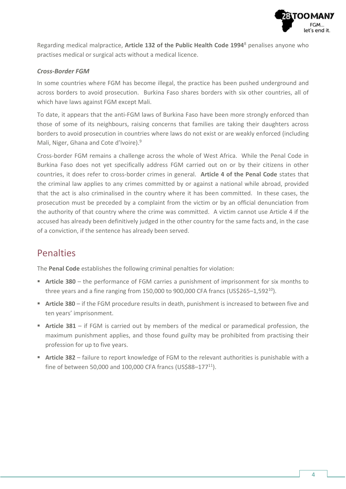

Regarding medical malpractice, **Article 132 of the Public Health Code 1994**<sup>8</sup> penalises anyone who practises medical or surgical acts without a medical licence.

#### *Cross-Border FGM*

In some countries where FGM has become illegal, the practice has been pushed underground and across borders to avoid prosecution. Burkina Faso shares borders with six other countries, all of which have laws against FGM except Mali.

To date, it appears that the anti-FGM laws of Burkina Faso have been more strongly enforced than those of some of its neighbours, raising concerns that families are taking their daughters across borders to avoid prosecution in countries where laws do not exist or are weakly enforced (including Mali, Niger, Ghana and Cote d'Ivoire).<sup>9</sup>

Cross-border FGM remains a challenge across the whole of West Africa. While the Penal Code in Burkina Faso does not yet specifically address FGM carried out on or by their citizens in other countries, it does refer to cross-border crimes in general. **Article 4 of the Penal Code** states that the criminal law applies to any crimes committed by or against a national while abroad, provided that the act is also criminalised in the country where it has been committed. In these cases, the prosecution must be preceded by a complaint from the victim or by an official denunciation from the authority of that country where the crime was committed. A victim cannot use Article 4 if the accused has already been definitively judged in the other country for the same facts and, in the case of a conviction, if the sentence has already been served.

#### Penalties

The **Penal Code** establishes the following criminal penalties for violation:

- **Article 380** the performance of FGM carries a punishment of imprisonment for six months to three years and a fine ranging from 150,000 to 900,000 CFA francs (US\$265-1,592 $^{10}$ ).
- **E** Article 380 if the FGM procedure results in death, punishment is increased to between five and ten years' imprisonment.
- **Article 381** if FGM is carried out by members of the medical or paramedical profession, the maximum punishment applies, and those found guilty may be prohibited from practising their profession for up to five years.
- **EXTERM** 1382 failure to report knowledge of FGM to the relevant authorities is punishable with a fine of between 50,000 and 100,000 CFA francs (US\$88-177 $^{11}$ ).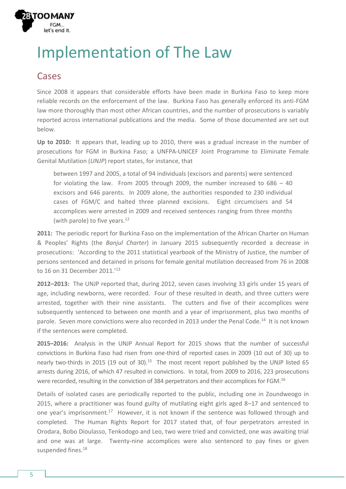

## Implementation of The Law

#### **Cases**

Since 2008 it appears that considerable efforts have been made in Burkina Faso to keep more reliable records on the enforcement of the law. Burkina Faso has generally enforced its anti-FGM law more thoroughly than most other African countries, and the number of prosecutions is variably reported across international publications and the media. Some of those documented are set out below.

**Up to 2010:** It appears that, leading up to 2010, there was a gradual increase in the number of prosecutions for FGM in Burkina Faso; a UNFPA-UNICEF Joint Programme to Eliminate Female Genital Mutilation (*UNJP*) report states, for instance, that

between 1997 and 2005, a total of 94 individuals (excisors and parents) were sentenced for violating the law. From 2005 through 2009, the number increased to 686 – 40 excisors and 646 parents. In 2009 alone, the authorities responded to 230 individual cases of FGM/C and halted three planned excisions. Eight circumcisers and 54 accomplices were arrested in 2009 and received sentences ranging from three months (with parole) to five years.<sup>12</sup>

**2011:** The periodic report for Burkina Faso on the implementation of the African Charter on Human & Peoples' Rights (the *Banjul Charter*) in January 2015 subsequently recorded a decrease in prosecutions: 'According to the 2011 statistical yearbook of the Ministry of Justice, the number of persons sentenced and detained in prisons for female genital mutilation decreased from 76 in 2008 to 16 on 31 December 2011.' 13

**2012–2013:** The UNJP reported that, during 2012, seven cases involving 33 girls under 15 years of age, including newborns, were recorded. Four of these resulted in death, and three cutters were arrested, together with their nine assistants. The cutters and five of their accomplices were subsequently sentenced to between one month and a year of imprisonment, plus two months of parole. Seven more convictions were also recorded in 2013 under the Penal Code.<sup>14</sup> It is not known if the sentences were completed.

**2015–2016:** Analysis in the UNJP Annual Report for 2015 shows that the number of successful convictions in Burkina Faso had risen from one-third of reported cases in 2009 (10 out of 30) up to nearly two-thirds in 2015 (19 out of 30).<sup>15</sup> The most recent report published by the UNJP listed 65 arrests during 2016, of which 47 resulted in convictions. In total, from 2009 to 2016, 223 prosecutions were recorded, resulting in the conviction of 384 perpetrators and their accomplices for FGM.<sup>16</sup>

Details of isolated cases are periodically reported to the public, including one in Zoundweogo in 2015, where a practitioner was found guilty of mutilating eight girls aged 8–17 and sentenced to one year's imprisonment.<sup>17</sup> However, it is not known if the sentence was followed through and completed. The Human Rights Report for 2017 stated that, of four perpetrators arrested in Orodara, Bobo Dioulasso, Tenkodogo and Leo, two were tried and convicted, one was awaiting trial and one was at large. Twenty-nine accomplices were also sentenced to pay fines or given suspended fines.<sup>18</sup>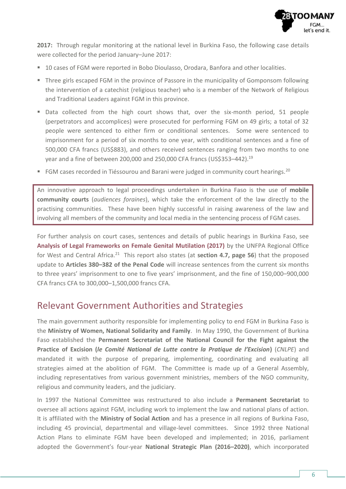

**2017:** Through regular monitoring at the national level in Burkina Faso, the following case details were collected for the period January–June 2017:

- 10 cases of FGM were reported in Bobo Dioulasso, Orodara, Banfora and other localities.
- Three girls escaped FGM in the province of Passore in the municipality of Gomponsom following the intervention of a catechist (religious teacher) who is a member of the Network of Religious and Traditional Leaders against FGM in this province.
- Data collected from the high court shows that, over the six-month period, 51 people (perpetrators and accomplices) were prosecuted for performing FGM on 49 girls; a total of 32 people were sentenced to either firm or conditional sentences. Some were sentenced to imprisonment for a period of six months to one year, with conditional sentences and a fine of 500,000 CFA francs (US\$883), and others received sentences ranging from two months to one year and a fine of between 200,000 and 250,000 CFA francs (US\$353-442).<sup>19</sup>
- FGM cases recorded in Tiéssourou and Barani were judged in community court hearings.<sup>20</sup>

An innovative approach to legal proceedings undertaken in Burkina Faso is the use of **mobile community courts** (*audiences foraines*), which take the enforcement of the law directly to the practising communities. These have been highly successful in raising awareness of the law and involving all members of the community and local media in the sentencing process of FGM cases.

For further analysis on court cases, sentences and details of public hearings in Burkina Faso, see **[Analysis of Legal Frameworks on Female Genital Mutilation \(2017\)](http://wcaro.unfpa.org/sites/default/files/pub-pdf/EN-UNFPA-ANALYSIS-ON-FGM.pdf)** by the UNFPA Regional Office for West and Central Africa.<sup>21</sup> This report also states (at **section 4.7, page 56**) that the proposed update to **Articles 380–382 of the Penal Code** will increase sentences from the current six months to three years' imprisonment to one to five years' imprisonment, and the fine of 150,000–900,000 CFA francs CFA to 300,000–1,500,000 francs CFA.

#### Relevant Government Authorities and Strategies

The main government authority responsible for implementing policy to end FGM in Burkina Faso is the **Ministry of Women, National Solidarity and Family**. In May 1990, the Government of Burkina Faso established the **Permanent Secretariat of the National Council for the Fight against the Practice of Excision (***le Comité National de Lutte contre la Pratique de l'Excision***)** (*CNLPE*) and mandated it with the purpose of preparing, implementing, coordinating and evaluating all strategies aimed at the abolition of FGM. The Committee is made up of a General Assembly, including representatives from various government ministries, members of the NGO community, religious and community leaders, and the judiciary.

In 1997 the National Committee was restructured to also include a **Permanent Secretariat** to oversee all actions against FGM, including work to implement the law and national plans of action. It is affiliated with the **Ministry of Social Action** and has a presence in all regions of Burkina Faso, including 45 provincial, departmental and village-level committees. Since 1992 three National Action Plans to eliminate FGM have been developed and implemented; in 2016, parliament adopted the Government's four-year **National Strategic Plan (2016–2020)**, which incorporated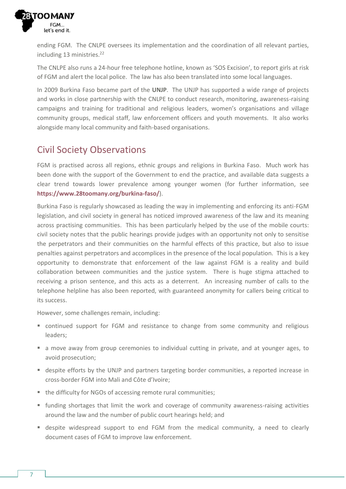

ending FGM. The CNLPE oversees its implementation and the coordination of all relevant parties, including 13 ministries.<sup>22</sup>

The CNLPE also runs a 24-hour free telephone hotline, known as 'SOS Excision', to report girls at risk of FGM and alert the local police. The law has also been translated into some local languages.

In 2009 Burkina Faso became part of the **UNJP**. The UNJP has supported a wide range of projects and works in close partnership with the CNLPE to conduct research, monitoring, awareness-raising campaigns and training for traditional and religious leaders, women's organisations and village community groups, medical staff, law enforcement officers and youth movements. It also works alongside many local community and faith-based organisations.

### Civil Society Observations

FGM is practised across all regions, ethnic groups and religions in Burkina Faso. Much work has been done with the support of the Government to end the practice, and available data suggests a clear trend towards lower prevalence among younger women (for further information, see **<https://www.28toomany.org/burkina-faso/>**).

Burkina Faso is regularly showcased as leading the way in implementing and enforcing its anti-FGM legislation, and civil society in general has noticed improved awareness of the law and its meaning across practising communities. This has been particularly helped by the use of the mobile courts: civil society notes that the public hearings provide judges with an opportunity not only to sensitise the perpetrators and their communities on the harmful effects of this practice, but also to issue penalties against perpetrators and accomplices in the presence of the local population. This is a key opportunity to demonstrate that enforcement of the law against FGM is a reality and build collaboration between communities and the justice system. There is huge stigma attached to receiving a prison sentence, and this acts as a deterrent. An increasing number of calls to the telephone helpline has also been reported, with guaranteed anonymity for callers being critical to its success.

However, some challenges remain, including:

- continued support for FGM and resistance to change from some community and religious leaders;
- a move away from group ceremonies to individual cutting in private, and at younger ages, to avoid prosecution;
- despite efforts by the UNJP and partners targeting border communities, a reported increase in cross-border FGM into Mali and Côte d'Ivoire;
- the difficulty for NGOs of accessing remote rural communities;
- funding shortages that limit the work and coverage of community awareness-raising activities around the law and the number of public court hearings held; and
- despite widespread support to end FGM from the medical community, a need to clearly document cases of FGM to improve law enforcement.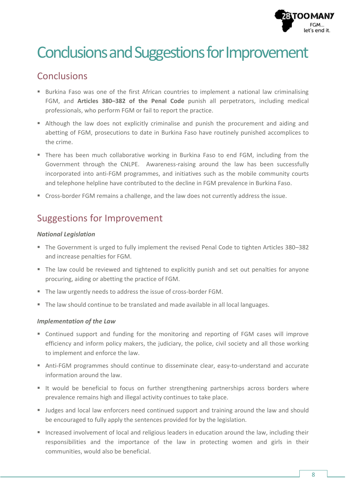

### Conclusions and Suggestions for Improvement

#### Conclusions

- Burkina Faso was one of the first African countries to implement a national law criminalising FGM, and **Articles 380–382 of the Penal Code** punish all perpetrators, including medical professionals, who perform FGM or fail to report the practice.
- Although the law does not explicitly criminalise and punish the procurement and aiding and abetting of FGM, prosecutions to date in Burkina Faso have routinely punished accomplices to the crime.
- There has been much collaborative working in Burkina Faso to end FGM, including from the Government through the CNLPE. Awareness-raising around the law has been successfully incorporated into anti-FGM programmes, and initiatives such as the mobile community courts and telephone helpline have contributed to the decline in FGM prevalence in Burkina Faso.
- Cross-border FGM remains a challenge, and the law does not currently address the issue.

### Suggestions for Improvement

#### *National Legislation*

- The Government is urged to fully implement the revised Penal Code to tighten Articles 380–382 and increase penalties for FGM.
- The law could be reviewed and tightened to explicitly punish and set out penalties for anyone procuring, aiding or abetting the practice of FGM.
- The law urgently needs to address the issue of cross-border FGM.
- The law should continue to be translated and made available in all local languages.

#### *Implementation of the Law*

- Continued support and funding for the monitoring and reporting of FGM cases will improve efficiency and inform policy makers, the judiciary, the police, civil society and all those working to implement and enforce the law.
- Anti-FGM programmes should continue to disseminate clear, easy-to-understand and accurate information around the law.
- It would be beneficial to focus on further strengthening partnerships across borders where prevalence remains high and illegal activity continues to take place.
- Judges and local law enforcers need continued support and training around the law and should be encouraged to fully apply the sentences provided for by the legislation.
- Increased involvement of local and religious leaders in education around the law, including their responsibilities and the importance of the law in protecting women and girls in their communities, would also be beneficial.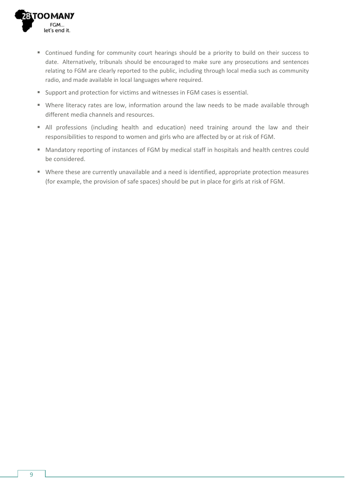

- Continued funding for community court hearings should be a priority to build on their success to date. Alternatively, tribunals should be encouraged to make sure any prosecutions and sentences relating to FGM are clearly reported to the public, including through local media such as community radio, and made available in local languages where required.
- Support and protection for victims and witnesses in FGM cases is essential.
- Where literacy rates are low, information around the law needs to be made available through different media channels and resources.
- All professions (including health and education) need training around the law and their responsibilities to respond to women and girls who are affected by or at risk of FGM.
- Mandatory reporting of instances of FGM by medical staff in hospitals and health centres could be considered.
- Where these are currently unavailable and a need is identified, appropriate protection measures (for example, the provision of safe spaces) should be put in place for girls at risk of FGM.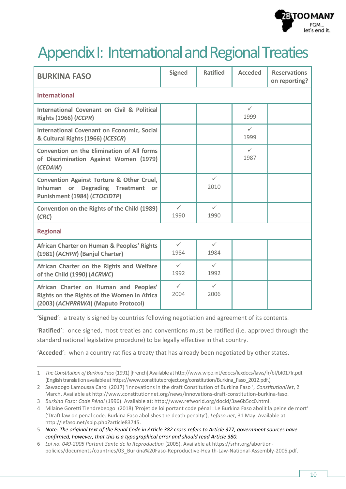

### Appendix I: International and Regional Treaties

| <b>BURKINA FASO</b>                                                                                                                    | <b>Signed</b>        | <b>Ratified</b>      | <b>Acceded</b>       | <b>Reservations</b><br>on reporting? |  |  |
|----------------------------------------------------------------------------------------------------------------------------------------|----------------------|----------------------|----------------------|--------------------------------------|--|--|
| <b>International</b>                                                                                                                   |                      |                      |                      |                                      |  |  |
| International Covenant on Civil & Political<br><b>Rights (1966) (ICCPR)</b>                                                            |                      |                      | $\checkmark$<br>1999 |                                      |  |  |
| <b>International Covenant on Economic, Social</b><br>& Cultural Rights (1966) (ICESCR)                                                 |                      |                      | $\checkmark$<br>1999 |                                      |  |  |
| Convention on the Elimination of All forms<br>of Discrimination Against Women (1979)<br>(CEDAW)                                        |                      |                      | $\checkmark$<br>1987 |                                      |  |  |
| <b>Convention Against Torture &amp; Other Cruel,</b><br><b>Degrading Treatment</b><br>Inhuman or<br>or<br>Punishment (1984) (CTOCIDTP) |                      | $\checkmark$<br>2010 |                      |                                      |  |  |
| Convention on the Rights of the Child (1989)<br>(CRC)                                                                                  | $\checkmark$<br>1990 | $\checkmark$<br>1990 |                      |                                      |  |  |
| <b>Regional</b>                                                                                                                        |                      |                      |                      |                                      |  |  |
| African Charter on Human & Peoples' Rights<br>(1981) (ACHPR) (Banjul Charter)                                                          | $\checkmark$<br>1984 | $\checkmark$<br>1984 |                      |                                      |  |  |
| African Charter on the Rights and Welfare<br>of the Child (1990) (ACRWC)                                                               | $\checkmark$<br>1992 | $\checkmark$<br>1992 |                      |                                      |  |  |
| African Charter on Human and Peoples'<br>Rights on the Rights of the Women in Africa<br>(2003) (ACHPRRWA) (Maputo Protocol)            | $\checkmark$<br>2004 | $\checkmark$<br>2006 |                      |                                      |  |  |

'**Signed**': a treaty is signed by countries following negotiation and agreement of its contents.

'**Ratified**': once signed, most treaties and conventions must be ratified (i.e. approved through the standard national legislative procedure) to be legally effective in that country.

'**Acceded**': when a country ratifies a treaty that has already been negotiated by other states.

 $\overline{a}$ 

<sup>1</sup> *The Constitution of Burkina Faso* (1991) [French] Available a[t http://www.wipo.int/edocs/lexdocs/laws/fr/bf/bf017fr.pdf.](http://www.wipo.int/edocs/lexdocs/laws/fr/bf/bf017fr.pdf) (English translation available a[t https://www.constituteproject.org/constitution/Burkina\\_Faso\\_2012.pdf.\)](https://www.constituteproject.org/constitution/Burkina_Faso_2012.pdf)

<sup>2</sup> Sawadogo Lamoussa Carol (2017) 'Innovations in the draft Constitution of Burkina Faso ', *ConstitutionNet*, 2 March. Available a[t http://www.constitutionnet.org/news/innovations-draft-constitution-burkina-faso.](http://www.constitutionnet.org/news/innovations-draft-constitution-burkina-faso)

<sup>3</sup> *Burkina Faso: Code Pénal* (1996). Available at: [http://www.refworld.org/docid/3ae6b5cc0.html.](http://www.refworld.org/docid/3ae6b5cc0.html)

<sup>4</sup> Milaine Goretti Tiendrebeogo (2018) 'Projet de loi portant code pénal : Le Burkina Faso abolit la peine de mort' ('Draft law on penal code: Burkina Faso abolishes the death penalty'), *Lefaso.net*, 31 May. Available at [http://lefaso.net/spip.php?article83745.](http://lefaso.net/spip.php?article83745) 

<sup>5</sup> *Note: The original text of the Penal Code in Article 382 cross-refers to Article 377; government sources have confirmed, however, that this is a typographical error and should read Article 380.*

<sup>6</sup> *Loi no. 049-2005 Portant Sante de la Reproduction* (2005). Available at [https://srhr.org/abortion](https://srhr.org/abortion-policies/documents/countries/03_Burkina%20Faso-Reproductive-Health-Law-National-Assembly-2005.pdf)[policies/documents/countries/03\\_Burkina%20Faso-Reproductive-Health-Law-National-Assembly-2005.pdf.](https://srhr.org/abortion-policies/documents/countries/03_Burkina%20Faso-Reproductive-Health-Law-National-Assembly-2005.pdf)